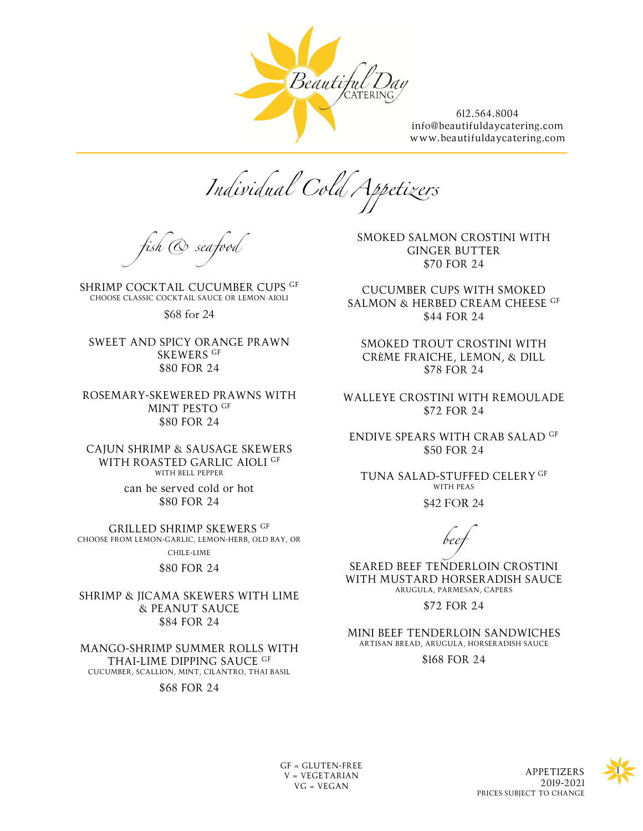

*Individual Cold Appetizers*

*fish & seafood*

SHRIMP COCKTAIL CUCUMBER CUPS GF CHOOSE CLASSIC COCKTAIL SAUCE OR LEMON AIOLI

\$68 for 24

SWEET AND SPICY ORANGE PRAWN SKEWERS GF \$80 FOR 24

ROSEMARY-SKEWERED PRAWNS WITH MINT PESTO GF \$80 FOR 24

CAJUN SHRIMP & SAUSAGE SKEWERS WITH ROASTED GARLIC AIOLI GF WITH BELL PEPPER

> can be served cold or hot \$80 FOR 24

GRILLED SHRIMP SKEWERS GF CHOOSE FROM LEMON-GARLIC, LEMON-HERB, OLD BAY, OR CHILE-LIME

\$80 FOR 24

SHRIMP & JICAMA SKEWERS WITH LIME & PEANUT SAUCE \$84 FOR 24

MANGO-SHRIMP SUMMER ROLLS WITH THAI-LIME DIPPING SAUCE GF CUCUMBER, SCALLION, MINT, CILANTRO, THAI BASIL

\$68 FOR 24

SMOKED SALMON CROSTINI WITH GINGER BUTTER \$70 FOR 24

CUCUMBER CUPS WITH SMOKED SALMON & HERBED CREAM CHEESE GF \$44 FOR 24

SMOKED TROUT CROSTINI WITH CRÈME FRAICHE, LEMON, & DILL \$78 FOR 24

WALLEYE CROSTINI WITH REMOULADE \$72 FOR 24

ENDIVE SPEARS WITH CRAB SALAD GF \$50 FOR 24

TUNA SALAD-STUFFED CELERY GF WITH PEAS

\$42 FOR 24

*beef*

SEARED BEEF TENDERLOIN CROSTINI WITH MUSTARD HORSERADISH SAUCE ARUGULA, PARMESAN, CAPERS

\$72 FOR 24

MINI BEEF TENDERLOIN SANDWICHES ARTISAN BREAD, ARUGULA, HORSERADISH SAUCE

\$168 FOR 24

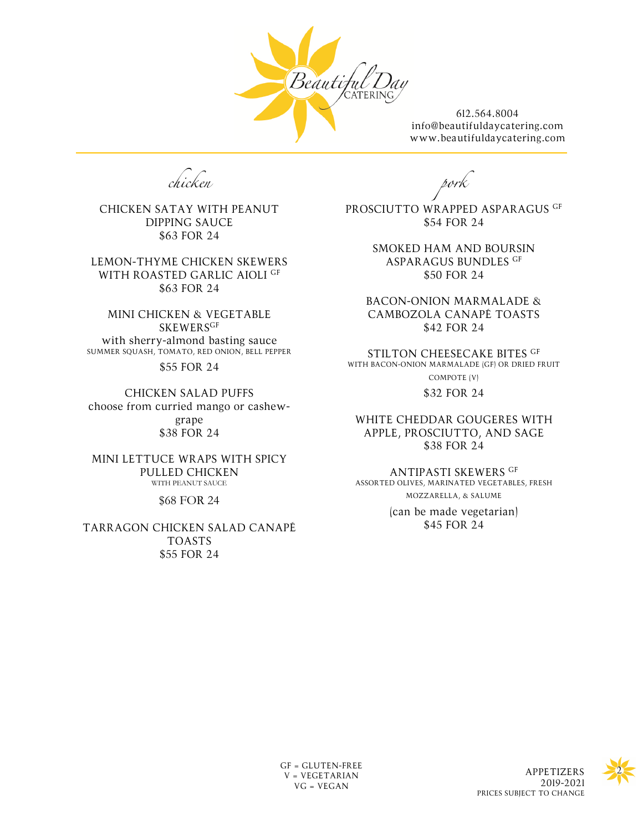

*chicken*

CHICKEN SATAY WITH PEANUT DIPPING SAUCE \$63 FOR 24

LEMON-THYME CHICKEN SKEWERS WITH ROASTED GARLIC AIOLI GF \$63 FOR 24

MINI CHICKEN & VEGETABLE **SKEWERSGF** with sherry-almond basting sauce SUMMER SQUASH, TOMATO, RED ONION, BELL PEPPER

\$55 FOR 24

CHICKEN SALAD PUFFS choose from curried mango or cashewgrape \$38 FOR 24

MINI LETTUCE WRAPS WITH SPICY PULLED CHICKEN WITH PEANUT SAUCE

\$68 FOR 24

TARRAGON CHICKEN SALAD CANAPÉ TOASTS \$55 FOR 24

*pork*

PROSCIUTTO WRAPPED ASPARAGUS GF \$54 FOR 24

> SMOKED HAM AND BOURSIN ASPARAGUS BUNDLES GF \$50 FOR 24

BACON-ONION MARMALADE & CAMBOZOLA CANAPÉ TOASTS \$42 FOR 24

STILTON CHEESECAKE BITES GF WITH BACON-ONION MARMALADE (GF) OR DRIED FRUIT COMPOTE (V)

\$32 FOR 24

WHITE CHEDDAR GOUGERES WITH APPLE, PROSCIUTTO, AND SAGE \$38 FOR 24

ANTIPASTI SKEWERS GF ASSORTED OLIVES, MARINATED VEGETABLES, FRESH MOZZARELLA, & SALUME (can be made vegetarian) \$45 FOR 24

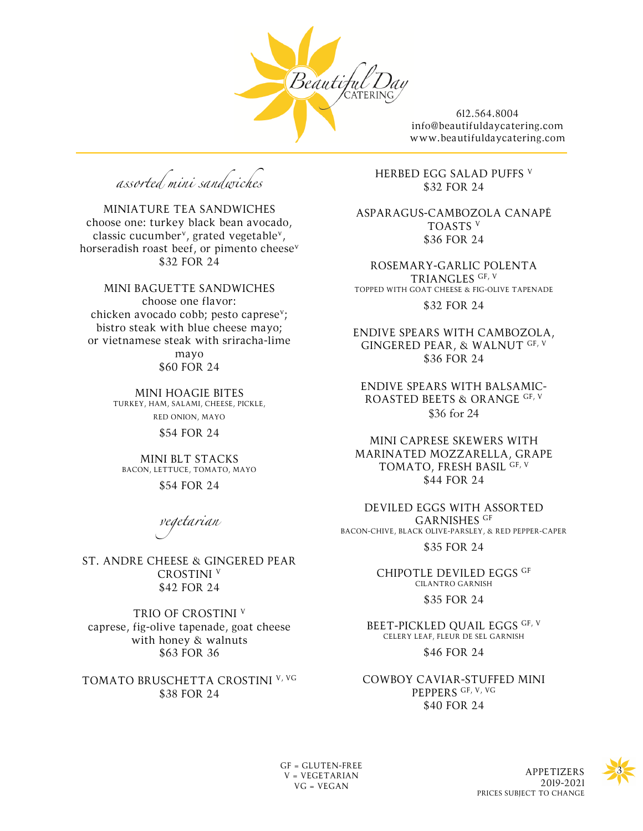

*assorted mini sandwiches*

MINIATURE TEA SANDWICHES choose one: turkey black bean avocado, classic cucumber<sup>v</sup>, grated vegetable<sup>v</sup>, horseradish roast beef, or pimento cheese<sup>v</sup> \$32 FOR 24

MINI BAGUETTE SANDWICHES choose one flavor: chicken avocado cobb; pesto caprese<sup>v</sup>; bistro steak with blue cheese mayo; or vietnamese steak with sriracha-lime

> mayo \$60 FOR 24

MINI HOAGIE BITES TURKEY, HAM, SALAMI, CHEESE, PICKLE, RED ONION, MAYO

\$54 FOR 24

MINI BLT STACKS BACON, LETTUCE, TOMATO, MAYO

\$54 FOR 24

*vegetarian*

ST. ANDRE CHEESE & GINGERED PEAR CROSTINI V \$42 FOR 24

TRIO OF CROSTINI <sup>V</sup> caprese, fig-olive tapenade, goat cheese with honey & walnuts \$63 FOR 36

TOMATO BRUSCHETTA CROSTINI V, VG \$38 FOR 24

HERBED EGG SALAD PUFFS V \$32 FOR 24

ASPARAGUS-CAMBOZOLA CANAPÉ TOASTS V \$36 FOR 24

ROSEMARY-GARLIC POLENTA TRIANGLES GF, V TOPPED WITH GOAT CHEESE & FIG-OLIVE TAPENADE

\$32 FOR 24

ENDIVE SPEARS WITH CAMBOZOLA, GINGERED PEAR, & WALNUT GF, V \$36 FOR 24

ENDIVE SPEARS WITH BALSAMIC-ROASTED BEETS & ORANGE GF, V \$36 for 24

MINI CAPRESE SKEWERS WITH MARINATED MOZZARELLA, GRAPE TOMATO, FRESH BASIL GF, V \$44 FOR 24

DEVILED EGGS WITH ASSORTED GARNISHES GF BACON-CHIVE, BLACK OLIVE-PARSLEY, & RED PEPPER-CAPER \$35 FOR 24

> CHIPOTLE DEVILED EGGS GF CILANTRO GARNISH

> > \$35 FOR 24

BEET-PICKLED QUAIL EGGS GF, V CELERY LEAF, FLEUR DE SEL GARNISH

\$46 FOR 24

COWBOY CAVIAR-STUFFED MINI PEPPERS GF, V, VG \$40 FOR 24

V = VEGETARIAN VG = VEGAN

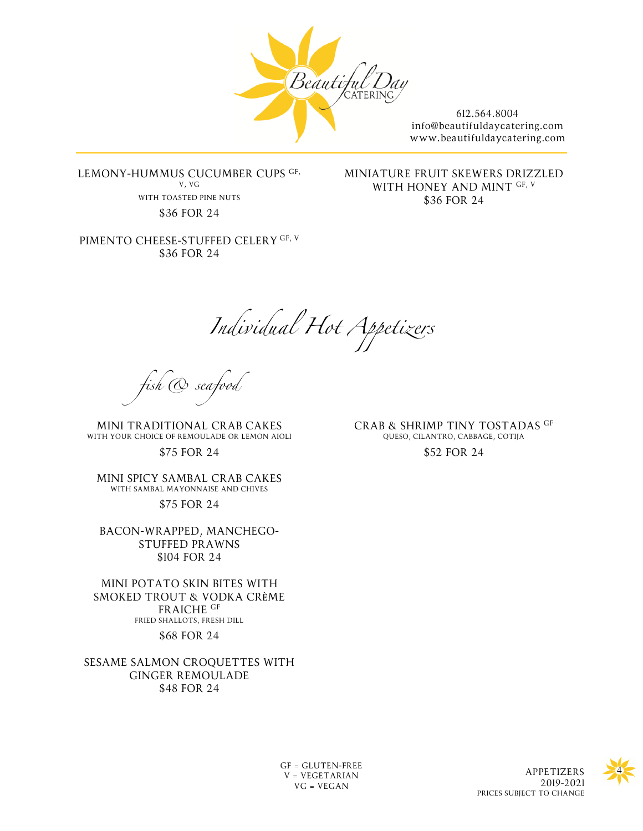

LEMONY-HUMMUS CUCUMBER CUPS GF, V, VG WITH TOASTED PINE NUTS \$36 FOR 24

PIMENTO CHEESE-STUFFED CELERY GF, V \$36 FOR 24

MINIATURE FRUIT SKEWERS DRIZZLED WITH HONEY AND MINT GF, V \$36 FOR 24

*Individual Hot Appetizers*

*fish & seafood*

MINI TRADITIONAL CRAB CAKES WITH YOUR CHOICE OF REMOULADE OR LEMON AIOLI

\$75 FOR 24

MINI SPICY SAMBAL CRAB CAKES WITH SAMBAL MAYONNAISE AND CHIVES

\$75 FOR 24

BACON-WRAPPED, MANCHEGO-STUFFED PRAWNS \$104 FOR 24

MINI POTATO SKIN BITES WITH SMOKED TROUT & VODKA CRÈME FRAICHE GF FRIED SHALLOTS, FRESH DILL \$68 FOR 24

SESAME SALMON CROQUETTES WITH GINGER REMOULADE \$48 FOR 24

CRAB & SHRIMP TINY TOSTADAS GF QUESO, CILANTRO, CABBAGE, COTIJA \$52 FOR 24

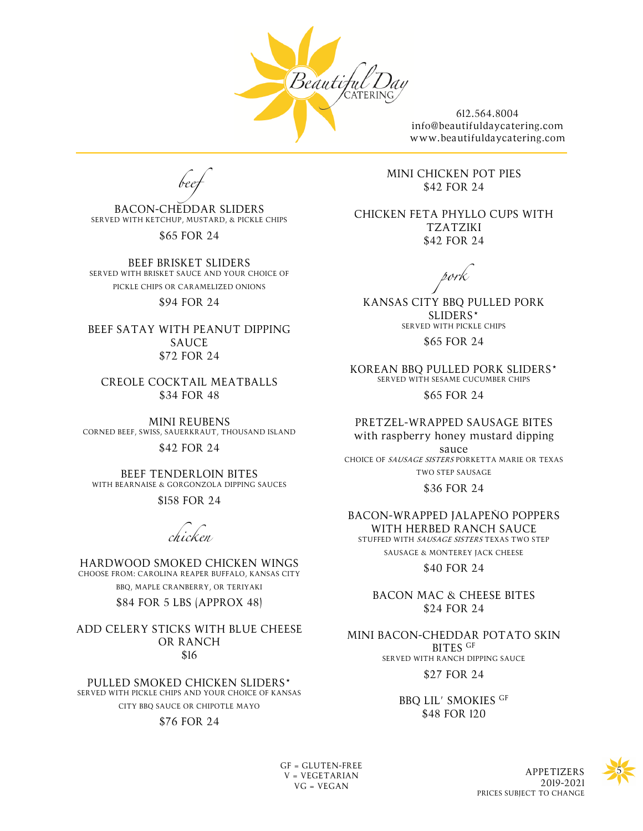

*beef*

BACON-CHEDDAR SLIDERS SERVED WITH KETCHUP, MUSTARD, & PICKLE CHIPS

\$65 FOR 24

BEEF BRISKET SLIDERS SERVED WITH BRISKET SAUCE AND YOUR CHOICE OF PICKLE CHIPS OR CARAMELIZED ONIONS

#### \$94 FOR 24

BEEF SATAY WITH PEANUT DIPPING SAUCE \$72 FOR 24

CREOLE COCKTAIL MEATBALLS \$34 FOR 48

MINI REUBENS CORNED BEEF, SWISS, SAUERKRAUT, THOUSAND ISLAND

\$42 FOR 24

BEEF TENDERLOIN BITES WITH BEARNAISE & GORGONZOLA DIPPING SAUCES

\$158 FOR 24

*chicken*

HARDWOOD SMOKED CHICKEN WINGS CHOOSE FROM: CAROLINA REAPER BUFFALO, KANSAS CITY BBQ, MAPLE CRANBERRY, OR TERIYAKI

\$84 FOR 5 LBS (APPROX 48)

ADD CELERY STICKS WITH BLUE CHEESE OR RANCH \$16

PULLED SMOKED CHICKEN SLIDERS\* SERVED WITH PICKLE CHIPS AND YOUR CHOICE OF KANSAS CITY BBQ SAUCE OR CHIPOTLE MAYO \$76 FOR 24

MINI CHICKEN POT PIES \$42 FOR 24

CHICKEN FETA PHYLLO CUPS WITH TZATZIKI \$42 FOR 24

*pork*

KANSAS CITY BBQ PULLED PORK SLIDERS\* SERVED WITH PICKLE CHIPS \$65 FOR 24

KOREAN BBQ PULLED PORK SLIDERS\* SERVED WITH SESAME CUCUMBER CHIPS \$65 FOR 24

PRETZEL-WRAPPED SAUSAGE BITES with raspberry honey mustard dipping

sauce CHOICE OF SAUSAGE SISTERS PORKETTA MARIE OR TEXAS TWO STEP SAUSAGE

\$36 FOR 24

BACON-WRAPPED JALAPEÑO POPPERS WITH HERBED RANCH SAUCE STUFFED WITH SAUSAGE SISTERS TEXAS TWO STEP SAUSAGE & MONTEREY JACK CHEESE

\$40 FOR 24

BACON MAC & CHEESE BITES \$24 FOR 24

MINI BACON-CHEDDAR POTATO SKIN BITES GF SERVED WITH RANCH DIPPING SAUCE

\$27 FOR 24

BBQ LIL' SMOKIES GF \$48 FOR 120

 $GF = GLUTEN-FREE$ V = VEGETARIAN VG = VEGAN

APPETIZERS 2019-2021 PRICES SUBJECT TO CHANGE

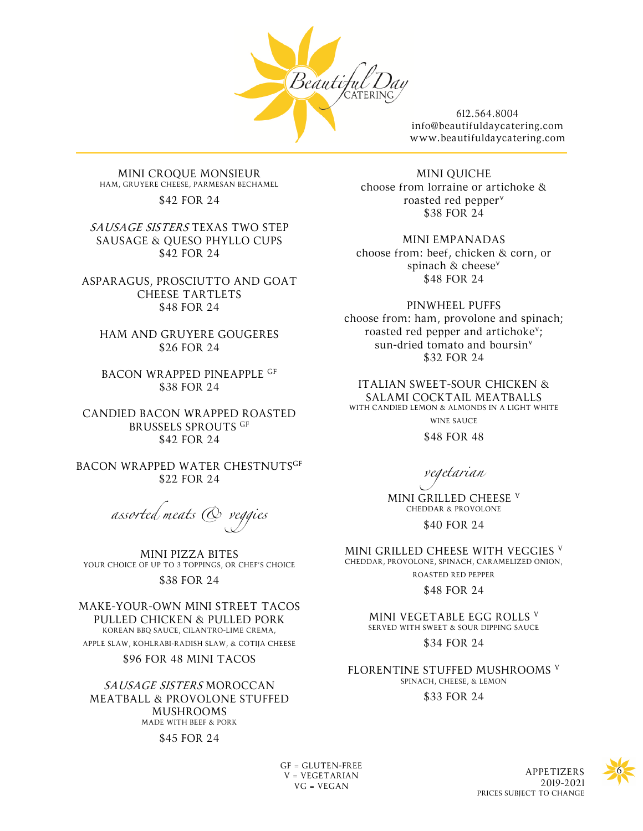

MINI CROQUE MONSIEUR HAM, GRUYERE CHEESE, PARMESAN BECHAMEL

\$42 FOR 24

SAUSAGE SISTERS TEXAS TWO STEP SAUSAGE & QUESO PHYLLO CUPS \$42 FOR 24

ASPARAGUS, PROSCIUTTO AND GOAT CHEESE TARTLETS \$48 FOR 24

HAM AND GRUYERE GOUGERES \$26 FOR 24

BACON WRAPPED PINEAPPLE GF \$38 FOR 24

CANDIED BACON WRAPPED ROASTED BRUSSELS SPROUTS GF \$42 FOR 24

BACON WRAPPED WATER CHESTNUTSGF \$22 FOR 24

*assorted meats & veggies*

MINI PIZZA BITES YOUR CHOICE OF UP TO 3 TOPPINGS, OR CHEF'S CHOICE \$38 FOR 24

MAKE-YOUR-OWN MINI STREET TACOS PULLED CHICKEN & PULLED PORK KOREAN BBQ SAUCE, CILANTRO-LIME CREMA, APPLE SLAW, KOHLRABI-RADISH SLAW, & COTIJA CHEESE

\$96 FOR 48 MINI TACOS

SAUSAGE SISTERS MOROCCAN MEATBALL & PROVOLONE STUFFED MUSHROOMS MADE WITH BEEF & PORK

#### \$45 FOR 24

MINI QUICHE choose from lorraine or artichoke & roasted red pepperv \$38 FOR 24

MINI EMPANADAS

choose from: beef, chicken & corn, or spinach & cheese<sup>v</sup> \$48 FOR 24

PINWHEEL PUFFS choose from: ham, provolone and spinach; roasted red pepper and artichokev; sun-dried tomato and boursin<sup>v</sup> \$32 FOR 24

ITALIAN SWEET-SOUR CHICKEN & SALAMI COCKTAIL MEATBALLS WITH CANDIED LEMON & ALMONDS IN A LIGHT WHITE WINE SAUCE

\$48 FOR 48

*vegetarian*

MINI GRILLED CHEESE <sup>V</sup> CHEDDAR & PROVOLONE

\$40 FOR 24

MINI GRILLED CHEESE WITH VEGGIES <sup>V</sup> CHEDDAR, PROVOLONE, SPINACH, CARAMELIZED ONION,

ROASTED RED PEPPER

\$48 FOR 24

MINI VEGETABLE EGG ROLLS V SERVED WITH SWEET & SOUR DIPPING SAUCE

\$34 FOR 24

FLORENTINE STUFFED MUSHROOMS <sup>V</sup> SPINACH, CHEESE, & LEMON

\$33 FOR 24



GF = GLUTEN-FREE<br>V = VECETARIAN V = VEGETARIAN VG = VEGAN

2019-2021 PRICES SUBJECT TO CHANGE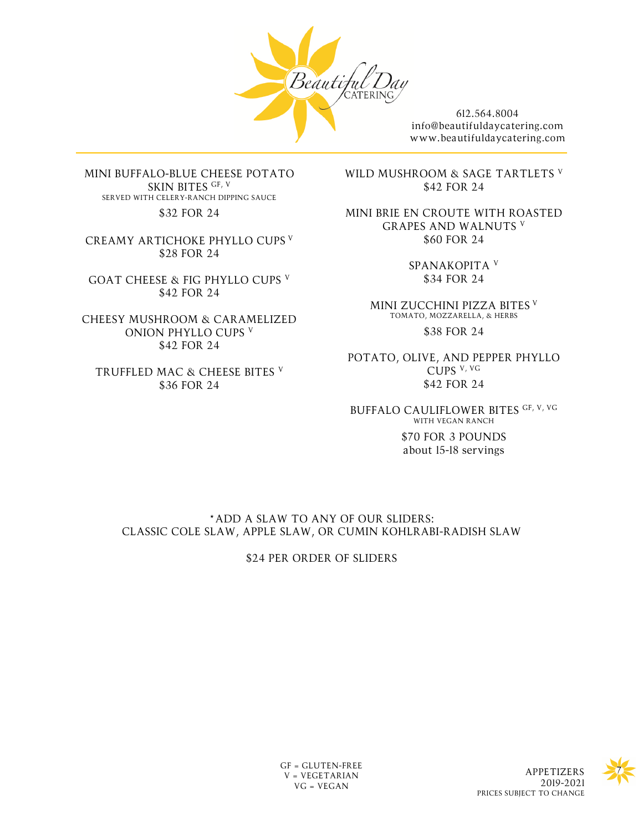

MINI BUFFALO-BLUE CHEESE POTATO SKIN BITES GF, V SERVED WITH CELERY-RANCH DIPPING SAUCE \$32 FOR 24

CREAMY ARTICHOKE PHYLLO CUPS <sup>V</sup> \$28 FOR 24

GOAT CHEESE & FIG PHYLLO CUPS V \$42 FOR 24

CHEESY MUSHROOM & CARAMELIZED ONION PHYLLO CUPS V \$42 FOR 24

TRUFFLED MAC & CHEESE BITES <sup>V</sup> \$36 FOR 24

WILD MUSHROOM & SAGE TARTLETS V \$42 FOR 24

MINI BRIE EN CROUTE WITH ROASTED GRAPES AND WALNUTS <sup>V</sup> \$60 FOR 24

> SPANAKOPITA <sup>V</sup> \$34 FOR 24

MINI ZUCCHINI PIZZA BITES <sup>V</sup> TOMATO, MOZZARELLA, & HERBS \$38 FOR 24

POTATO, OLIVE, AND PEPPER PHYLLO CUPS V, VG \$42 FOR 24

BUFFALO CAULIFLOWER BITES GF, V, VG WITH VEGAN RANCH

> \$70 FOR 3 POUNDS about 15-18 servings

\*ADD A SLAW TO ANY OF OUR SLIDERS: CLASSIC COLE SLAW, APPLE SLAW, OR CUMIN KOHLRABI-RADISH SLAW

\$24 PER ORDER OF SLIDERS

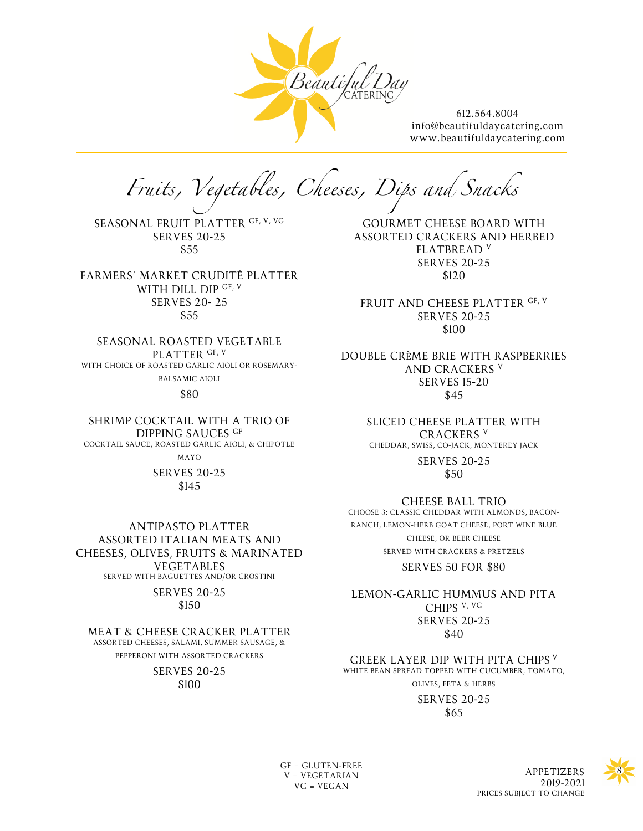

*Fruits, Vegetables, Cheeses, Dips and Snacks*

SEASONAL FRUIT PLATTER GF, V, VG SERVES 20-25 \$55

FARMERS' MARKET CRUDITÉ PLATTER WITH DILL DIP GF, V SERVES 20- 25 \$55

SEASONAL ROASTED VEGETABLE PLATTER GF, V WITH CHOICE OF ROASTED GARLIC AIOLI OR ROSEMARY-BALSAMIC AIOLI

\$80

SHRIMP COCKTAIL WITH A TRIO OF DIPPING SAUCES GF COCKTAIL SAUCE, ROASTED GARLIC AIOLI, & CHIPOTLE MAYO

SERVES 20-25 \$145

ANTIPASTO PLATTER ASSORTED ITALIAN MEATS AND CHEESES, OLIVES, FRUITS & MARINATED VEGETABLES SERVED WITH BAGUETTES AND/OR CROSTINI

> SERVES 20-25 \$150

MEAT & CHEESE CRACKER PLATTER ASSORTED CHEESES, SALAMI, SUMMER SAUSAGE, & PEPPERONI WITH ASSORTED CRACKERS

> SERVES 20-25 \$100

GOURMET CHEESE BOARD WITH ASSORTED CRACKERS AND HERBED FLATBREAD <sup>V</sup> SERVES 20-25 \$120

FRUIT AND CHEESE PLATTER GF, V SERVES 20-25 \$100

DOUBLE CRÈME BRIE WITH RASPBERRIES AND CRACKERS V SERVES 15-20 \$45

> SLICED CHEESE PLATTER WITH CRACKERS V CHEDDAR, SWISS, CO-JACK, MONTEREY JACK

> > SERVES 20-25 \$50

CHEESE BALL TRIO

CHOOSE 3: CLASSIC CHEDDAR WITH ALMONDS, BACON-RANCH, LEMON-HERB GOAT CHEESE, PORT WINE BLUE CHEESE, OR BEER CHEESE SERVED WITH CRACKERS & PRETZELS

SERVES 50 FOR \$80

LEMON-GARLIC HUMMUS AND PITA CHIPS V, VG SERVES 20-25 \$40

GREEK LAYER DIP WITH PITA CHIPS <sup>V</sup> WHITE BEAN SPREAD TOPPED WITH CUCUMBER, TOMATO, OLIVES, FETA & HERBS

> SERVES 20-25 \$65

V = VEGETARIAN VG = VEGAN

GF = GLUTEN-FREE<br>V = VECETARIAN 2019-2021 PRICES SUBJECT TO CHANGE

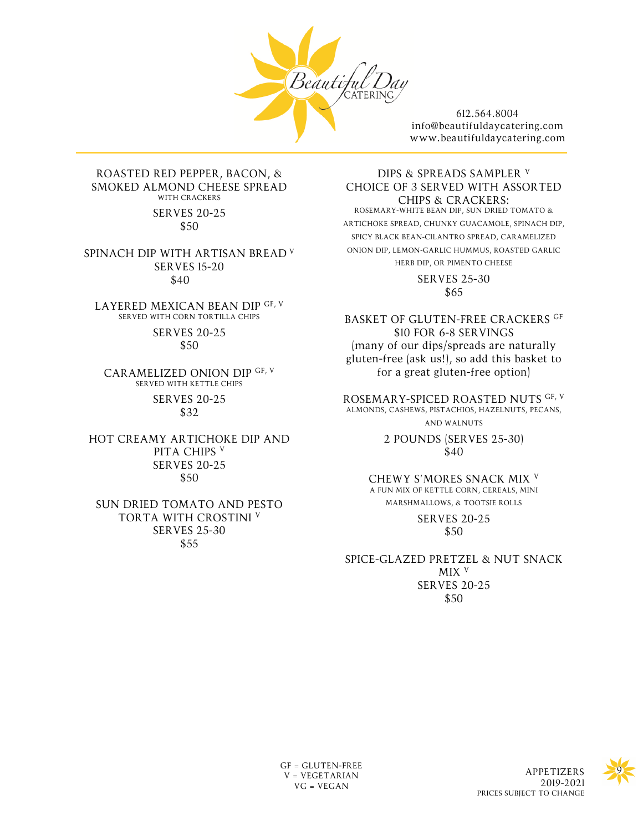

#### ROASTED RED PEPPER, BACON, & SMOKED ALMOND CHEESE SPREAD WITH CRACKERS

SERVES 20-25 \$50

SPINACH DIP WITH ARTISAN BREAD <sup>V</sup> SERVES 15-20 \$40

LAYERED MEXICAN BEAN DIP GF, V SERVED WITH CORN TORTILLA CHIPS

> SERVES 20-25 \$50

CARAMELIZED ONION DIP GF, V SERVED WITH KETTLE CHIPS SERVES 20-25 \$32

HOT CREAMY ARTICHOKE DIP AND PITA CHIPS V SERVES 20-25 \$50

### SUN DRIED TOMATO AND PESTO TORTA WITH CROSTINI V SERVES 25-30 \$55

DIPS & SPREADS SAMPLER V CHOICE OF 3 SERVED WITH ASSORTED CHIPS & CRACKERS: ROSEMARY-WHITE BEAN DIP, SUN DRIED TOMATO & ARTICHOKE SPREAD, CHUNKY GUACAMOLE, SPINACH DIP, SPICY BLACK BEAN-CILANTRO SPREAD, CARAMELIZED ONION DIP, LEMON-GARLIC HUMMUS, ROASTED GARLIC HERB DIP, OR PIMENTO CHEESE SERVES 25-30

\$65

BASKET OF GLUTEN-FREE CRACKERS GF \$10 FOR 6-8 SERVINGS (many of our dips/spreads are naturally gluten-free (ask us!), so add this basket to for a great gluten-free option)

ROSEMARY-SPICED ROASTED NUTS GF, V ALMONDS, CASHEWS, PISTACHIOS, HAZELNUTS, PECANS, AND WALNUTS

> 2 POUNDS (SERVES 25-30) \$40

CHEWY S'MORES SNACK MIX <sup>V</sup> A FUN MIX OF KETTLE CORN, CEREALS, MINI MARSHMALLOWS, & TOOTSIE ROLLS

> SERVES 20-25 \$50

SPICE-GLAZED PRETZEL & NUT SNACK MIX V SERVES 20-25 \$50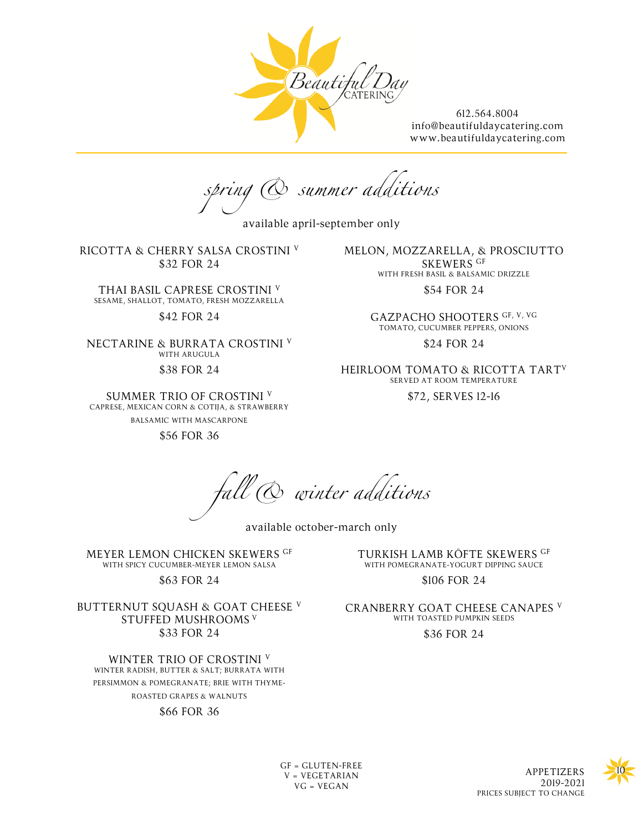

*spring & summer additions*

available april-september only

RICOTTA & CHERRY SALSA CROSTINI <sup>V</sup> \$32 FOR 24

THAI BASIL CAPRESE CROSTINI V SESAME, SHALLOT, TOMATO, FRESH MOZZARELLA

## \$42 FOR 24

NECTARINE & BURRATA CROSTINI <sup>V</sup> WITH ARUGULA \$38 FOR 24

SUMMER TRIO OF CROSTINI <sup>V</sup> CAPRESE, MEXICAN CORN & COTIJA, & STRAWBERRY BALSAMIC WITH MASCARPONE

\$56 FOR 36

MELON, MOZZARELLA, & PROSCIUTTO SKEWERS GF WITH FRESH BASIL & BALSAMIC DRIZZLE

\$54 FOR 24

GAZPACHO SHOOTERS GF, V, VG TOMATO, CUCUMBER PEPPERS, ONIONS

\$24 FOR 24

HEIRLOOM TOMATO & RICOTTA TARTV SERVED AT ROOM TEMPERATURE

\$72, SERVES 12-16

*fall & winter additions*

available october-march only

MEYER LEMON CHICKEN SKEWERS GF WITH SPICY CUCUMBER-MEYER LEMON SALSA

\$63 FOR 24

BUTTERNUT SQUASH & GOAT CHEESE V STUFFED MUSHROOMS <sup>V</sup> \$33 FOR 24

WINTER TRIO OF CROSTINI <sup>V</sup> WINTER RADISH, BUTTER & SALT; BURRATA WITH PERSIMMON & POMEGRANATE; BRIE WITH THYME-ROASTED GRAPES & WALNUTS

# \$66 FOR 36

TURKISH LAMB KÖFTE SKEWERS GF WITH POMEGRANATE-YOGURT DIPPING SAUCE

\$106 FOR 24

CRANBERRY GOAT CHEESE CANAPES <sup>V</sup> WITH TOASTED PUMPKIN SEEDS \$36 FOR 24